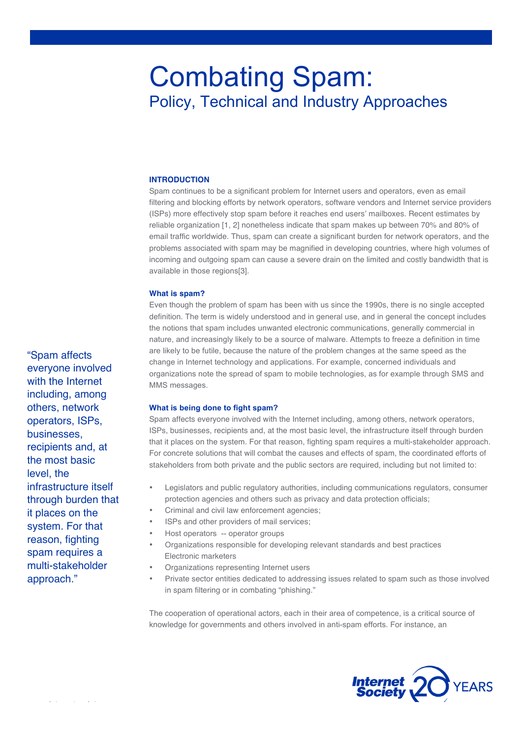# Combating Spam: Policy, Technical and Industry Approaches

#### **INTRODUCTION**

Spam continues to be a significant problem for Internet users and operators, even as email filtering and blocking efforts by network operators, software vendors and Internet service providers (ISPs) more effectively stop spam before it reaches end users' mailboxes. Recent estimates by reliable organization [1, 2] nonetheless indicate that spam makes up between 70% and 80% of email traffic worldwide. Thus, spam can create a significant burden for network operators, and the problems associated with spam may be magnified in developing countries, where high volumes of incoming and outgoing spam can cause a severe drain on the limited and costly bandwidth that is available in those regions[3].

# **What is spam?**

Even though the problem of spam has been with us since the 1990s, there is no single accepted definition. The term is widely understood and in general use, and in general the concept includes the notions that spam includes unwanted electronic communications, generally commercial in nature, and increasingly likely to be a source of malware. Attempts to freeze a definition in time are likely to be futile, because the nature of the problem changes at the same speed as the change in Internet technology and applications. For example, concerned individuals and organizations note the spread of spam to mobile technologies, as for example through SMS and MMS messages.

## **What is being done to fight spam?**

Spam affects everyone involved with the Internet including, among others, network operators, ISPs, businesses, recipients and, at the most basic level, the infrastructure itself through burden that it places on the system. For that reason, fighting spam requires a multi-stakeholder approach. For concrete solutions that will combat the causes and effects of spam, the coordinated efforts of stakeholders from both private and the public sectors are required, including but not limited to:

- Legislators and public regulatory authorities, including communications regulators, consumer protection agencies and others such as privacy and data protection officials;
- Criminal and civil law enforcement agencies;
- ISPs and other providers of mail services;
- Host operators -- operator groups
- Organizations responsible for developing relevant standards and best practices Electronic marketers
- Organizations representing Internet users
- Private sector entities dedicated to addressing issues related to spam such as those involved in spam filtering or in combating "phishing."

The cooperation of operational actors, each in their area of competence, is a critical source of knowledge for governments and others involved in anti-spam efforts. For instance, an



"Spam affects everyone involved with the Internet including, among others, network operators, ISPs, businesses, recipients and, at the most basic level, the infrastructure itself through burden that it places on the system. For that reason, fighting spam requires a multi-stakeholder approach."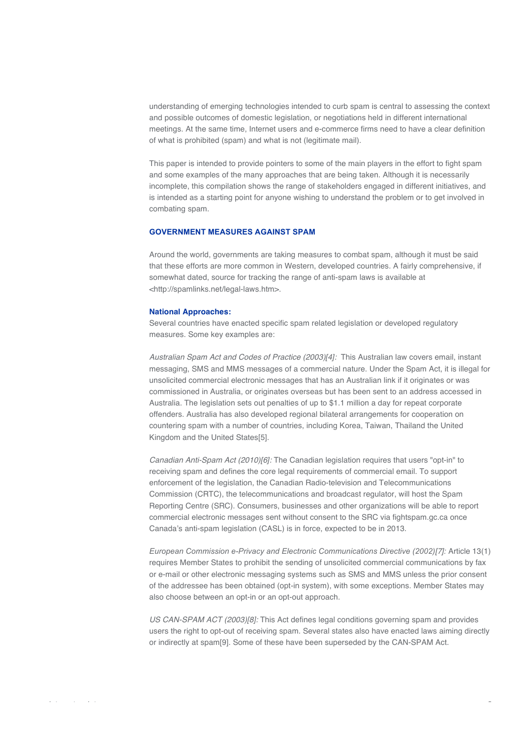understanding of emerging technologies intended to curb spam is central to assessing the context and possible outcomes of domestic legislation, or negotiations held in different international meetings. At the same time, Internet users and e-commerce firms need to have a clear definition of what is prohibited (spam) and what is not (legitimate mail).

This paper is intended to provide pointers to some of the main players in the effort to fight spam and some examples of the many approaches that are being taken. Although it is necessarily incomplete, this compilation shows the range of stakeholders engaged in different initiatives, and is intended as a starting point for anyone wishing to understand the problem or to get involved in combating spam.

## **GOVERNMENT MEASURES AGAINST SPAM**

Around the world, governments are taking measures to combat spam, although it must be said that these efforts are more common in Western, developed countries. A fairly comprehensive, if somewhat dated, source for tracking the range of anti-spam laws is available at <http://spamlinks.net/legal-laws.htm>.

#### **National Approaches:**

Several countries have enacted specific spam related legislation or developed regulatory measures. Some key examples are:

*Australian Spam Act and Codes of Practice (2003)[4]:* This Australian law covers email, instant messaging, SMS and MMS messages of a commercial nature. Under the Spam Act, it is illegal for unsolicited commercial electronic messages that has an Australian link if it originates or was commissioned in Australia, or originates overseas but has been sent to an address accessed in Australia. The legislation sets out penalties of up to \$1.1 million a day for repeat corporate offenders. Australia has also developed regional bilateral arrangements for cooperation on countering spam with a number of countries, including Korea, Taiwan, Thailand the United Kingdom and the United States[5].

*Canadian Anti-Spam Act (2010)[6]:* The Canadian legislation requires that users "opt-in" to receiving spam and defines the core legal requirements of commercial email. To support enforcement of the legislation, the Canadian Radio-television and Telecommunications Commission (CRTC), the telecommunications and broadcast regulator, will host the Spam Reporting Centre (SRC). Consumers, businesses and other organizations will be able to report commercial electronic messages sent without consent to the SRC via fightspam.gc.ca once Canada's anti-spam legislation (CASL) is in force, expected to be in 2013.

*European Commission e-Privacy and Electronic Communications Directive (2002)[7]:* Article 13(1) requires Member States to prohibit the sending of unsolicited commercial communications by fax or e-mail or other electronic messaging systems such as SMS and MMS unless the prior consent of the addressee has been obtained (opt-in system), with some exceptions. Member States may also choose between an opt-in or an opt-out approach.

*US CAN-SPAM ACT (2003)[8]:* This Act defines legal conditions governing spam and provides users the right to opt-out of receiving spam. Several states also have enacted laws aiming directly or indirectly at spam[9]. Some of these have been superseded by the CAN-SPAM Act.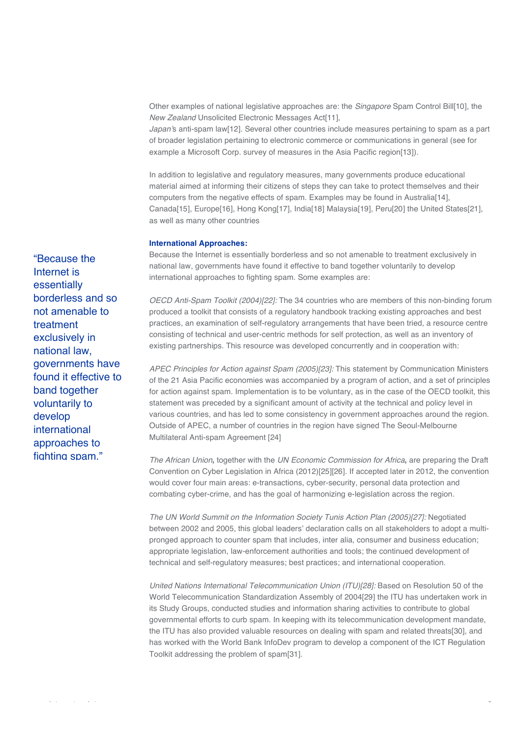Other examples of national legislative approaches are: the *Singapore* Spam Control Bill[10], the *New Zealand* Unsolicited Electronic Messages Act[11],

*Japan*'s anti-spam law[12]. Several other countries include measures pertaining to spam as a part of broader legislation pertaining to electronic commerce or communications in general (see for example a Microsoft Corp. survey of measures in the Asia Pacific region[13]).

In addition to legislative and regulatory measures, many governments produce educational material aimed at informing their citizens of steps they can take to protect themselves and their computers from the negative effects of spam. Examples may be found in Australia[14], Canada[15], Europe[16], Hong Kong[17], India[18] Malaysia[19], Peru[20] the United States[21], as well as many other countries

# **International Approaches:**

Because the Internet is essentially borderless and so not amenable to treatment exclusively in national law, governments have found it effective to band together voluntarily to develop international approaches to fighting spam. Some examples are:

*OECD Anti-Spam Toolkit (2004)[22]:* The 34 countries who are members of this non-binding forum produced a toolkit that consists of a regulatory handbook tracking existing approaches and best practices, an examination of self-regulatory arrangements that have been tried, a resource centre consisting of technical and user-centric methods for self protection, as well as an inventory of existing partnerships. This resource was developed concurrently and in cooperation with:

*APEC Principles for Action against Spam (2005)[23]:* This statement by Communication Ministers of the 21 Asia Pacific economies was accompanied by a program of action, and a set of principles for action against spam. Implementation is to be voluntary, as in the case of the OECD toolkit, this statement was preceded by a significant amount of activity at the technical and policy level in various countries, and has led to some consistency in government approaches around the region. Outside of APEC, a number of countries in the region have signed The Seoul-Melbourne Multilateral Anti-spam Agreement [24]

*The African Union***,** together with the *UN Economic Commission for Africa***,** are preparing the Draft Convention on Cyber Legislation in Africa (2012)[25][26]. If accepted later in 2012, the convention would cover four main areas: e-transactions, cyber-security, personal data protection and combating cyber-crime, and has the goal of harmonizing e-legislation across the region.

*The UN World Summit on the Information Society Tunis Action Plan (2005)[27]:* Negotiated between 2002 and 2005, this global leaders' declaration calls on all stakeholders to adopt a multipronged approach to counter spam that includes, inter alia, consumer and business education; appropriate legislation, law-enforcement authorities and tools; the continued development of technical and self-regulatory measures; best practices; and international cooperation.

*United Nations International Telecommunication Union (ITU)[28]:* Based on Resolution 50 of the World Telecommunication Standardization Assembly of 2004[29] the ITU has undertaken work in its Study Groups, conducted studies and information sharing activities to contribute to global governmental efforts to curb spam. In keeping with its telecommunication development mandate, the ITU has also provided valuable resources on dealing with spam and related threats[30], and has worked with the World Bank InfoDev program to develop a component of the ICT Regulation Toolkit addressing the problem of spam[31].

"Because the Internet is essentially borderless and so not amenable to treatment exclusively in national law, governments have found it effective to band together voluntarily to develop international approaches to fighting spam."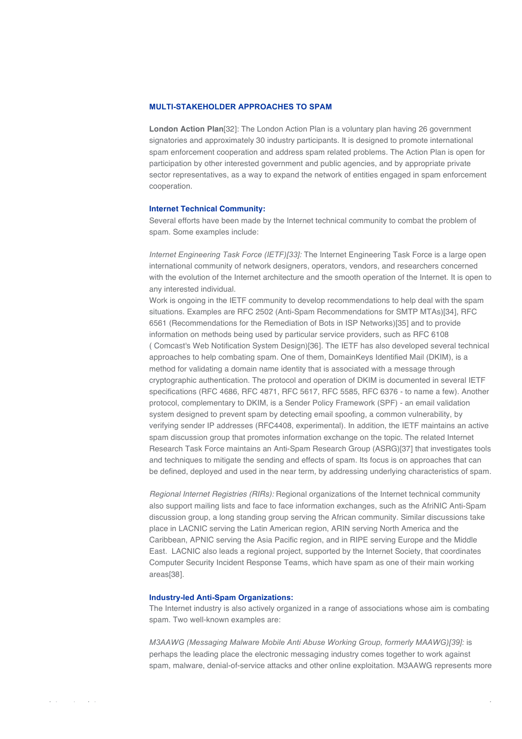### **MULTI-STAKEHOLDER APPROACHES TO SPAM**

**London Action Plan**[32]: The London Action Plan is a voluntary plan having 26 government signatories and approximately 30 industry participants. It is designed to promote international spam enforcement cooperation and address spam related problems. The Action Plan is open for participation by other interested government and public agencies, and by appropriate private sector representatives, as a way to expand the network of entities engaged in spam enforcement cooperation.

#### **Internet Technical Community:**

Several efforts have been made by the Internet technical community to combat the problem of spam. Some examples include:

*Internet Engineering Task Force (IETF)[33]:* The Internet Engineering Task Force is a large open international community of network designers, operators, vendors, and researchers concerned with the evolution of the Internet architecture and the smooth operation of the Internet. It is open to any interested individual.

Work is ongoing in the IETF community to develop recommendations to help deal with the spam situations. Examples are RFC 2502 (Anti-Spam Recommendations for SMTP MTAs)[34], RFC 6561 (Recommendations for the Remediation of Bots in ISP Networks)[35] and to provide information on methods being used by particular service providers, such as RFC 6108 ( Comcast's Web Notification System Design)[36]. The IETF has also developed several technical approaches to help combating spam. One of them, DomainKeys Identified Mail (DKIM), is a method for validating a domain name identity that is associated with a message through cryptographic authentication. The protocol and operation of DKIM is documented in several IETF specifications (RFC 4686, RFC 4871, RFC 5617, RFC 5585, RFC 6376 - to name a few). Another protocol, complementary to DKIM, is a Sender Policy Framework (SPF) - an email validation system designed to prevent spam by detecting email spoofing, a common vulnerability, by verifying sender IP addresses (RFC4408, experimental). In addition, the IETF maintains an active spam discussion group that promotes information exchange on the topic. The related Internet Research Task Force maintains an Anti-Spam Research Group (ASRG)[37] that investigates tools and techniques to mitigate the sending and effects of spam. Its focus is on approaches that can be defined, deployed and used in the near term, by addressing underlying characteristics of spam.

*Regional Internet Registries (RIRs):* Regional organizations of the Internet technical community also support mailing lists and face to face information exchanges, such as the AfriNIC Anti-Spam discussion group, a long standing group serving the African community. Similar discussions take place in LACNIC serving the Latin American region, ARIN serving North America and the Caribbean, APNIC serving the Asia Pacific region, and in RIPE serving Europe and the Middle East. LACNIC also leads a regional project, supported by the Internet Society, that coordinates Computer Security Incident Response Teams, which have spam as one of their main working areas[38].

#### **Industry-led Anti-Spam Organizations:**

The Internet industry is also actively organized in a range of associations whose aim is combating spam. Two well-known examples are:

*M3AAWG (Messaging Malware Mobile Anti Abuse Working Group, formerly MAAWG)[39]:* is perhaps the leading place the electronic messaging industry comes together to work against spam, malware, denial-of-service attacks and other online exploitation. M3AAWG represents more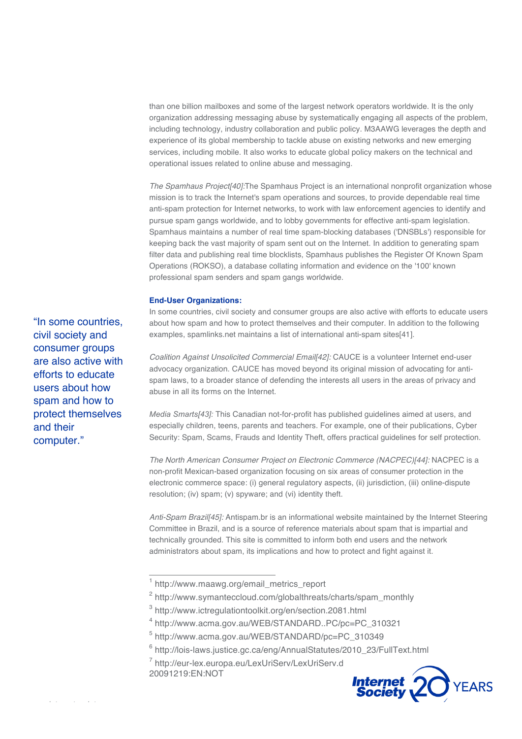than one billion mailboxes and some of the largest network operators worldwide. It is the only organization addressing messaging abuse by systematically engaging all aspects of the problem, including technology, industry collaboration and public policy. M3AAWG leverages the depth and experience of its global membership to tackle abuse on existing networks and new emerging services, including mobile. It also works to educate global policy makers on the technical and operational issues related to online abuse and messaging.

*The Spamhaus Project[40]:*The Spamhaus Project is an international nonprofit organization whose mission is to track the Internet's spam operations and sources, to provide dependable real time anti-spam protection for Internet networks, to work with law enforcement agencies to identify and pursue spam gangs worldwide, and to lobby governments for effective anti-spam legislation. Spamhaus maintains a number of real time spam-blocking databases ('DNSBLs') responsible for keeping back the vast majority of spam sent out on the Internet. In addition to generating spam filter data and publishing real time blocklists, Spamhaus publishes the Register Of Known Spam Operations (ROKSO), a database collating information and evidence on the '100' known professional spam senders and spam gangs worldwide.

#### **End-User Organizations:**

In some countries, civil society and consumer groups are also active with efforts to educate users about how spam and how to protect themselves and their computer. In addition to the following examples, spamlinks.net maintains a list of international anti-spam sites[41].

*Coalition Against Unsolicited Commercial Email[42]:* CAUCE is a volunteer Internet end-user advocacy organization. CAUCE has moved beyond its original mission of advocating for antispam laws, to a broader stance of defending the interests all users in the areas of privacy and abuse in all its forms on the Internet.

*Media Smarts[43]:* This Canadian not-for-profit has published guidelines aimed at users, and especially children, teens, parents and teachers. For example, one of their publications, Cyber Security: Spam, Scams, Frauds and Identity Theft, offers practical guidelines for self protection.

*The North American Consumer Project on Electronic Commerce (NACPEC)[44]:* NACPEC is a non-profit Mexican-based organization focusing on six areas of consumer protection in the electronic commerce space: (i) general regulatory aspects, (ii) jurisdiction, (iii) online-dispute resolution; (iv) spam; (v) spyware; and (vi) identity theft.

*Anti-Spam Brazil[45]:* Antispam.br is an informational website maintained by the Internet Steering Committee in Brazil, and is a source of reference materials about spam that is impartial and technically grounded. This site is committed to inform both end users and the network administrators about spam, its implications and how to protect and fight against it.

 $7$  http://eur-lex.europa.eu/LexUriServ/LexUriServ.d 20091219:EN:NOT



"In some countries, civil society and consumer groups are also active with efforts to educate users about how spam and how to protect themselves and their computer."

<sup>&</sup>lt;sup>1</sup> http://www.maawg.org/email\_metrics\_report

<sup>&</sup>lt;sup>2</sup> http://www.symanteccloud.com/globalthreats/charts/spam\_monthly

<sup>3</sup> http://www.ictregulationtoolkit.org/en/section.2081.html

<sup>4</sup> http://www.acma.gov.au/WEB/STANDARD..PC/pc=PC\_310321

<sup>5</sup> http://www.acma.gov.au/WEB/STANDARD/pc=PC\_310349

<sup>6</sup> http://lois-laws.justice.gc.ca/eng/AnnualStatutes/2010\_23/FullText.html